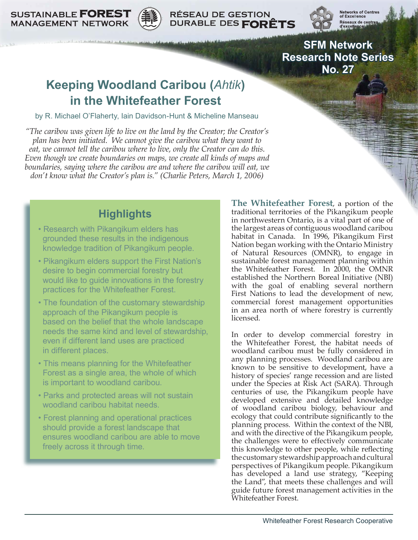**SUSTAINABLE FOREST MANAGEMENT NETWORK** 



**RÉSEAU DE GESTION** DURABLE DES FORÊTS



Networks of Centre<br>of Excellence Réseaux de centre d'excelle

**SFM Network Research Note Series No. 27**

# **Keeping Woodland Caribou (***Ahtik***) in the Whitefeather Forest**

by R. Michael O'Flaherty, Iain Davidson-Hunt & Micheline Manseau

*"The caribou was given life to live on the land by the Creator; the Creator's plan has been initiated. We cannot give the caribou what they want to eat, we cannot tell the caribou where to live, only the Creator can do this. Even though we create boundaries on maps, we create all kinds of maps and boundaries, saying where the caribou are and where the caribou will eat, we don't know what the Creator's plan is." (Charlie Peters, March 1, 2006)*

## **Highlights**

- Research with Pikangikum elders has grounded these results in the indigenous knowledge tradition of Pikangikum people.
- Pikangikum elders support the First Nation's desire to begin commercial forestry but would like to guide innovations in the forestry practices for the Whitefeather Forest.
- The foundation of the customary stewardship approach of the Pikangikum people is based on the belief that the whole landscape needs the same kind and level of stewardship, even if different land uses are practiced in different places.
- This means planning for the Whitefeather Forest as a single area, the whole of which is important to woodland caribou.
- Parks and protected areas will not sustain woodland caribou habitat needs.
- Forest planning and operational practices should provide a forest landscape that ensures woodland caribou are able to move freely across it through time.

**The Whitefeather Forest**, a portion of the traditional territories of the Pikangikum people in northwestern Ontario, is a vital part of one of the largest areas of contiguous woodland caribou habitat in Canada. In 1996, Pikangikum First Nation began working with the Ontario Ministry of Natural Resources (OMNR), to engage in sustainable forest management planning within the Whitefeather Forest. In 2000, the OMNR established the Northern Boreal Initiative (NBI) with the goal of enabling several northern First Nations to lead the development of new, commercial forest management opportunities in an area north of where forestry is currently licensed.

In order to develop commercial forestry in the Whitefeather Forest, the habitat needs of woodland caribou must be fully considered in any planning processes. Woodland caribou are known to be sensitive to development, have a history of species' range recession and are listed under the Species at Risk Act (SARA). Through centuries of use, the Pikangikum people have developed extensive and detailed knowledge of woodland caribou biology, behaviour and ecology that could contribute significantly to the planning process. Within the context of the NBI, and with the directive of the Pikangikum people, the challenges were to effectively communicate this knowledge to other people, while reflecting the customary stewardship approach and cultural perspectives of Pikangikum people. Pikangikum has developed a land use strategy, "Keeping the Land", that meets these challenges and will guide future forest management activities in the Whitefeather Forest.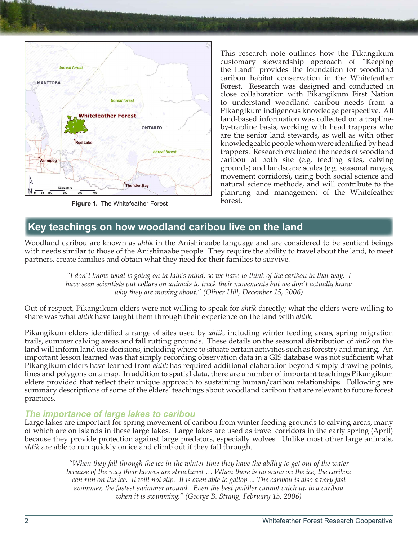

**Figure 1.** The Whitefeather Forest

This research note outlines how the Pikangikum customary stewardship approach of "Keeping the Land" provides the foundation for woodland caribou habitat conservation in the Whitefeather Forest. Research was designed and conducted in close collaboration with Pikangikum First Nation to understand woodland caribou needs from a Pikangikum indigenous knowledge perspective. All land-based information was collected on a traplineby-trapline basis, working with head trappers who are the senior land stewards, as well as with other knowledgeable people whom were identified by head trappers. Research evaluated the needs of woodland caribou at both site (e.g. feeding sites, calving grounds) and landscape scales (e.g. seasonal ranges, movement corridors), using both social science and natural science methods, and will contribute to the planning and management of the Whitefeather Forest.

### **Key teachings on how woodland caribou live on the land**

Woodland caribou are known as *ahtik* in the Anishinaabe language and are considered to be sentient beings with needs similar to those of the Anishinaabe people. They require the ability to travel about the land, to meet partners, create families and obtain what they need for their families to survive.

> *"I don't know what is going on in Iain's mind, so we have to think of the caribou in that way. I have seen scientists put collars on animals to track their movements but we don't actually know why they are moving about." (Oliver Hill, December 15, 2006)*

Out of respect, Pikangikum elders were not willing to speak for *ahtik* directly; what the elders were willing to share was what *ahtik* have taught them through their experience on the land with *ahtik*.

Pikangikum elders identified a range of sites used by *ahtik*, including winter feeding areas, spring migration trails, summer calving areas and fall rutting grounds. These details on the seasonal distribution of *ahtik* on the land will inform land use decisions, including where to situate certain activities such as forestry and mining. An important lesson learned was that simply recording observation data in a GIS database was not sufficient; what Pikangikum elders have learned from *ahtik* has required additional elaboration beyond simply drawing points, lines and polygons on a map. In addition to spatial data, there are a number of important teachings Pikangikum elders provided that reflect their unique approach to sustaining human/caribou relationships. Following are summary descriptions of some of the elders' teachings about woodland caribou that are relevant to future forest practices.

### *The importance of large lakes to caribou*

Large lakes are important for spring movement of caribou from winter feeding grounds to calving areas, many of which are on islands in these large lakes. Large lakes are used as travel corridors in the early spring (April) because they provide protection against large predators, especially wolves. Unlike most other large animals, *ahtik* are able to run quickly on ice and climb out if they fall through.

> *"When they fall through the ice in the winter time they have the ability to get out of the water because of the way their hooves are structured … When there is no snow on the ice, the caribou can run on the ice. It will not slip. It is even able to gallop ... The caribou is also a very fast swimmer, the fastest swimmer around. Even the best paddler cannot catch up to a caribou when it is swimming." (George B. Strang, February 15, 2006)*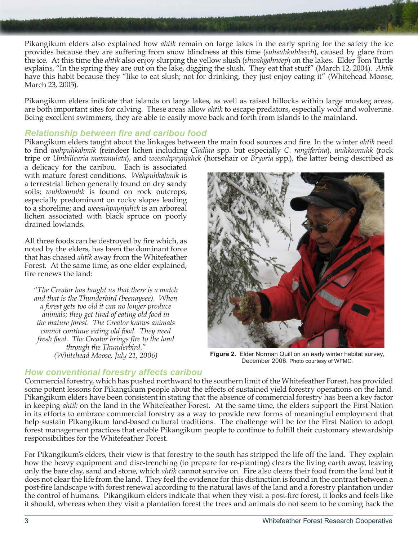Pikangikum elders also explained how *ahtik* remain on large lakes in the early spring for the safety the ice provides because they are suffering from snow blindness at this time (*suhsuhkuhbeech*), caused by glare from the ice. At this time the *ahtik* also enjoy slurping the yellow slush (*shwahgahneep*) on the lakes. Elder Tom Turtle explains, "In the spring they are out on the lake, digging the slush. They eat that stuff" (March 12, 2004). *Ahtik* have this habit because they "like to eat slush; not for drinking, they just enjoy eating it" (Whitehead Moose, March 23, 2005).

Pikangikum elders indicate that islands on large lakes, as well as raised hillocks within large muskeg areas, are both important sites for calving. These areas allow *ahtik* to escape predators, especially wolf and wolverine. Being excellent swimmers, they are able to easily move back and forth from islands to the mainland.

### *Relationship between fire and caribou food*

Pikangikum elders taught about the linkages between the main food sources and fire. In the winter *ahtik* need to find *wahpuhkahmik* (reindeer lichen including *Cladina* spp. but especially *C. rangiferina*), *wuhkoonuhk* (rock tripe or *Umbilicaria mammulata*), and *weesuhpaynjahck* (horsehair or *Bryoria* spp.), the latter being described as

a delicacy for the caribou. Each is associated with mature forest conditions. *Wahpuhkahmik* is a terrestrial lichen generally found on dry sandy soils; *wuhkoonuhk* is found on rock outcrops, especially predominant on rocky slopes leading to a shoreline; and *weesuhpaynjahck* is an arboreal lichen associated with black spruce on poorly drained lowlands.

All three foods can be destroyed by fire which, as noted by the elders, has been the dominant force that has chased *ahtik* away from the Whitefeather Forest. At the same time, as one elder explained, fire renews the land:

*"The Creator has taught us that there is a match and that is the Thunderbird (beenaysee). When a forest gets too old it can no longer produce animals; they get tired of eating old food in the mature forest. The Creator knows animals cannot continue eating old food. They need fresh food. The Creator brings fire to the land through the Thunderbird." (Whitehead Moose, July 21, 2006)*



**Figure 2.** Elder Norman Quill on an early winter habitat survey, December 2006. Photo courtesy of WFMC.

### *How conventional forestry affects caribou*

Commercial forestry, which has pushed northward to the southern limit of the Whitefeather Forest, has provided some potent lessons for Pikangikum people about the effects of sustained yield forestry operations on the land. Pikangikum elders have been consistent in stating that the absence of commercial forestry has been a key factor in keeping *ahtik* on the land in the Whitefeather Forest. At the same time, the elders support the First Nation in its efforts to embrace commercial forestry as a way to provide new forms of meaningful employment that help sustain Pikangikum land-based cultural traditions. The challenge will be for the First Nation to adopt forest management practices that enable Pikangikum people to continue to fulfill their customary stewardship responsibilities for the Whitefeather Forest.

For Pikangikum's elders, their view is that forestry to the south has stripped the life off the land. They explain how the heavy equipment and disc-trenching (to prepare for re-planting) clears the living earth away, leaving only the bare clay, sand and stone, which *ahtik* cannot survive on. Fire also clears their food from the land but it does not clear the life from the land. They feel the evidence for this distinction is found in the contrast between a post-fire landscape with forest renewal according to the natural laws of the land and a forestry plantation under the control of humans. Pikangikum elders indicate that when they visit a post-fire forest, it looks and feels like it should, whereas when they visit a plantation forest the trees and animals do not seem to be coming back the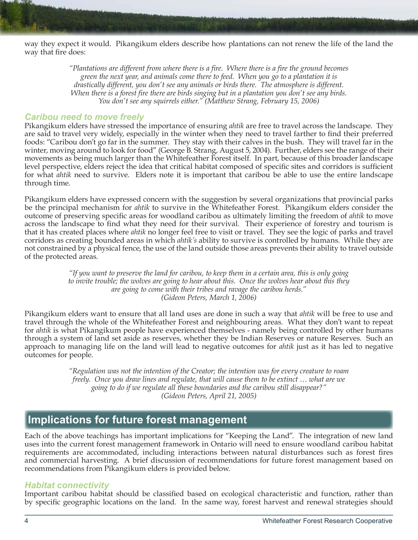way they expect it would. Pikangikum elders describe how plantations can not renew the life of the land the way that fire does:

> *"Plantations are different from where there is a fire. Where there is a fire the ground becomes green the next year, and animals come there to feed. When you go to a plantation it is drastically different, you don't see any animals or birds there. The atmosphere is different. When there is a forest fire there are birds singing but in a plantation you don't see any birds. You don't see any squirrels either." (Matthew Strang, February 15, 2006)*

#### *Caribou need to move freely*

Pikangikum elders have stressed the importance of ensuring *ahtik* are free to travel across the landscape. They are said to travel very widely, especially in the winter when they need to travel farther to find their preferred foods: "Caribou don't go far in the summer. They stay with their calves in the bush. They will travel far in the winter, moving around to look for food" (George B. Strang, August 5, 2004). Further, elders see the range of their movements as being much larger than the Whitefeather Forest itself. In part, because of this broader landscape level perspective, elders reject the idea that critical habitat composed of specific sites and corridors is sufficient for what *ahtik* need to survive. Elders note it is important that caribou be able to use the entire landscape through time.

Pikangikum elders have expressed concern with the suggestion by several organizations that provincial parks be the principal mechanism for *ahtik* to survive in the Whitefeather Forest. Pikangikum elders consider the outcome of preserving specific areas for woodland caribou as ultimately limiting the freedom of *ahtik* to move across the landscape to find what they need for their survival. Their experience of forestry and tourism is that it has created places where *ahtik* no longer feel free to visit or travel. They see the logic of parks and travel corridors as creating bounded areas in which *ahtik's* ability to survive is controlled by humans. While they are not constrained by a physical fence, the use of the land outside those areas prevents their ability to travel outside of the protected areas.

> *"If you want to preserve the land for caribou, to keep them in a certain area, this is only going to invite trouble; the wolves are going to hear about this. Once the wolves hear about this they are going to come with their tribes and ravage the caribou herds." (Gideon Peters, March 1, 2006)*

Pikangikum elders want to ensure that all land uses are done in such a way that *ahtik* will be free to use and travel through the whole of the Whitefeather Forest and neighbouring areas. What they don't want to repeat for *ahtik* is what Pikangikum people have experienced themselves - namely being controlled by other humans through a system of land set aside as reserves, whether they be Indian Reserves or nature Reserves. Such an approach to managing life on the land will lead to negative outcomes for *ahtik* just as it has led to negative outcomes for people.

> *"Regulation was not the intention of the Creator; the intention was for every creature to roam freely. Once you draw lines and regulate, that will cause them to be extinct … what are we going to do if we regulate all these boundaries and the caribou still disappear?" (Gideon Peters, April 21, 2005)*

### **Implications for future forest management**

Each of the above teachings has important implications for "Keeping the Land". The integration of new land uses into the current forest management framework in Ontario will need to ensure woodland caribou habitat requirements are accommodated, including interactions between natural disturbances such as forest fires and commercial harvesting. A brief discussion of recommendations for future forest management based on recommendations from Pikangikum elders is provided below.

#### *Habitat connectivity*

Important caribou habitat should be classified based on ecological characteristic and function, rather than by specific geographic locations on the land. In the same way, forest harvest and renewal strategies should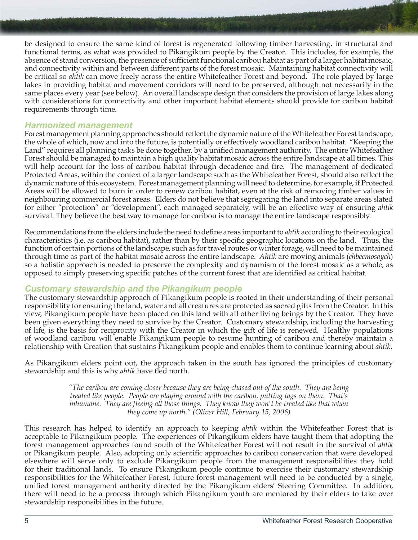be designed to ensure the same kind of forest is regenerated following timber harvesting, in structural and functional terms, as what was provided to Pikangikum people by the Creator. This includes, for example, the absence of stand conversion, the presence of sufficient functional caribou habitat as part of a larger habitat mosaic, and connectivity within and between different parts of the forest mosaic. Maintaining habitat connectivity will be critical so *ahtik* can move freely across the entire Whitefeather Forest and beyond. The role played by large lakes in providing habitat and movement corridors will need to be preserved, although not necessarily in the same places every year (see below). An overall landscape design that considers the provision of large lakes along with considerations for connectivity and other important habitat elements should provide for caribou habitat requirements through time.

#### *Harmonized management*

Forest management planning approaches should reflect the dynamic nature of the Whitefeather Forest landscape, the whole of which, now and into the future, is potentially or effectively woodland caribou habitat. "Keeping the Land" requires all planning tasks be done together, by a unified management authority. The entire Whitefeather Forest should be managed to maintain a high quality habitat mosaic across the entire landscape at all times. This will help account for the loss of caribou habitat through decadence and fire. The management of dedicated Protected Areas, within the context of a larger landscape such as the Whitefeather Forest, should also reflect the dynamic nature of this ecosystem. Forest management planning will need to determine, for example, if Protected Areas will be allowed to burn in order to renew caribou habitat, even at the risk of removing timber values in neighbouring commercial forest areas. Elders do not believe that segregating the land into separate areas slated for either "protection" or "development", each managed separately, will be an effective way of ensuring *ahtik*  survival. They believe the best way to manage for caribou is to manage the entire landscape responsibly.

Recommendations from the elders include the need to define areas important to *ahtik* according to their ecological characteristics (i.e. as caribou habitat), rather than by their specific geographic locations on the land. Thus, the function of certain portions of the landscape, such as for travel routes or winter forage, will need to be maintained through time as part of the habitat mosaic across the entire landscape. *Ahtik* are moving animals (*ehbeemosaych*) so a holistic approach is needed to preserve the complexity and dynamism of the forest mosaic as a whole, as opposed to simply preserving specific patches of the current forest that are identified as critical habitat.

### *Customary stewardship and the Pikangikum people*

The customary stewardship approach of Pikangikum people is rooted in their understanding of their personal responsibility for ensuring the land, water and all creatures are protected as sacred gifts from the Creator. In this view, Pikangikum people have been placed on this land with all other living beings by the Creator. They have been given everything they need to survive by the Creator. Customary stewardship, including the harvesting of life, is the basis for reciprocity with the Creator in which the gift of life is renewed. Healthy populations of woodland caribou will enable Pikangikum people to resume hunting of caribou and thereby maintain a relationship with Creation that sustains Pikangikum people and enables them to continue learning about *ahtik*.

As Pikangikum elders point out, the approach taken in the south has ignored the principles of customary stewardship and this is why *ahtik* have fled north.

> *"The caribou are coming closer because they are being chased out of the south. They are being treated like people. People are playing around with the caribou, putting tags on them. That's inhumane. They are fleeing all those things. They know they won't be treated like that when they come up north." (Oliver Hill, February 15, 2006)*

This research has helped to identify an approach to keeping *ahtik* within the Whitefeather Forest that is acceptable to Pikangikum people. The experiences of Pikangikum elders have taught them that adopting the forest management approaches found south of the Whitefeather Forest will not result in the survival of *ahtik* or Pikangikum people. Also, adopting only scientific approaches to caribou conservation that were developed elsewhere will serve only to exclude Pikangikum people from the management responsibilities they hold for their traditional lands. To ensure Pikangikum people continue to exercise their customary stewardship responsibilities for the Whitefeather Forest, future forest management will need to be conducted by a single, unified forest management authority directed by the Pikangikum elders' Steering Committee. In addition, there will need to be a process through which Pikangikum youth are mentored by their elders to take over stewardship responsibilities in the future.